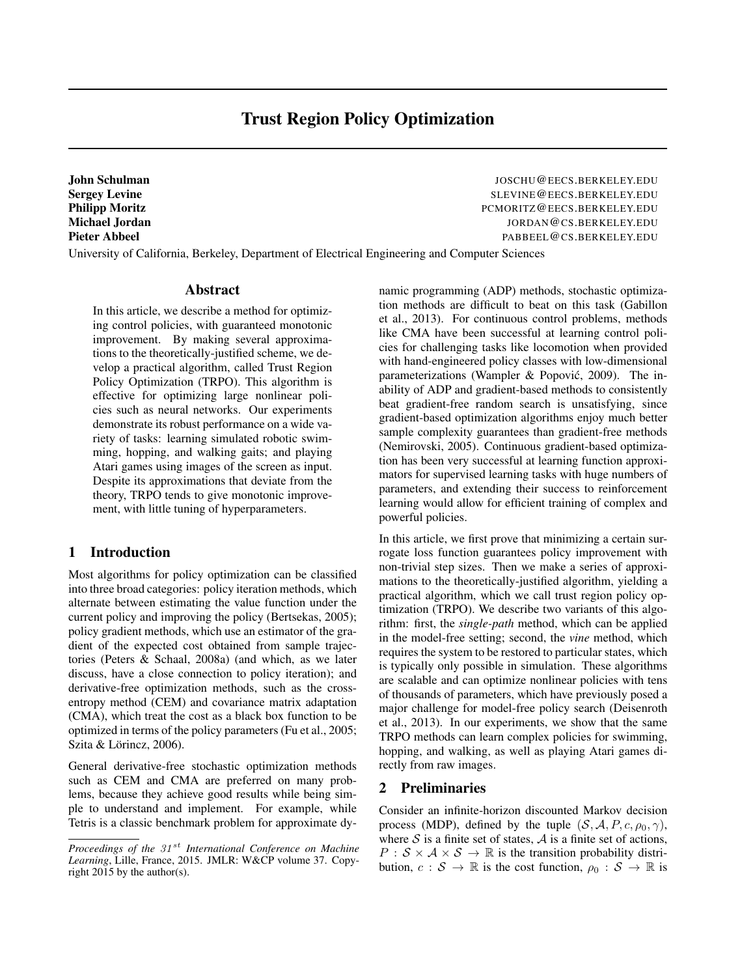# Trust Region Policy Optimization

John Schulman JOSCHU@EECS.BERKELEY.EDU Sergey Levine Subsection of the SLEVINE CHECS.BERKELEY.EDU Philipp Moritz **PERICE PROPERTY PERICEY** PCMORITZ @ EECS.BERKELEY.EDU Michael Jordan JORDAN@CS.BERKELEY.EDU Pieter Abbeel Pabbeel PABBEEL@CS.BERKELEY.EDU

University of California, Berkeley, Department of Electrical Engineering and Computer Sciences

#### Abstract

In this article, we describe a method for optimizing control policies, with guaranteed monotonic improvement. By making several approximations to the theoretically-justified scheme, we develop a practical algorithm, called Trust Region Policy Optimization (TRPO). This algorithm is effective for optimizing large nonlinear policies such as neural networks. Our experiments demonstrate its robust performance on a wide variety of tasks: learning simulated robotic swimming, hopping, and walking gaits; and playing Atari games using images of the screen as input. Despite its approximations that deviate from the theory, TRPO tends to give monotonic improvement, with little tuning of hyperparameters.

### 1 Introduction

Most algorithms for policy optimization can be classified into three broad categories: policy iteration methods, which alternate between estimating the value function under the current policy and improving the policy (Bertsekas, 2005); policy gradient methods, which use an estimator of the gradient of the expected cost obtained from sample trajectories (Peters & Schaal, 2008a) (and which, as we later discuss, have a close connection to policy iteration); and derivative-free optimization methods, such as the crossentropy method (CEM) and covariance matrix adaptation (CMA), which treat the cost as a black box function to be optimized in terms of the policy parameters (Fu et al., 2005; Szita & Lörincz, 2006).

General derivative-free stochastic optimization methods such as CEM and CMA are preferred on many problems, because they achieve good results while being simple to understand and implement. For example, while Tetris is a classic benchmark problem for approximate dynamic programming (ADP) methods, stochastic optimization methods are difficult to beat on this task (Gabillon et al., 2013). For continuous control problems, methods like CMA have been successful at learning control policies for challenging tasks like locomotion when provided with hand-engineered policy classes with low-dimensional parameterizations (Wampler & Popović, 2009). The inability of ADP and gradient-based methods to consistently beat gradient-free random search is unsatisfying, since gradient-based optimization algorithms enjoy much better sample complexity guarantees than gradient-free methods (Nemirovski, 2005). Continuous gradient-based optimization has been very successful at learning function approximators for supervised learning tasks with huge numbers of parameters, and extending their success to reinforcement learning would allow for efficient training of complex and powerful policies.

In this article, we first prove that minimizing a certain surrogate loss function guarantees policy improvement with non-trivial step sizes. Then we make a series of approximations to the theoretically-justified algorithm, yielding a practical algorithm, which we call trust region policy optimization (TRPO). We describe two variants of this algorithm: first, the *single-path* method, which can be applied in the model-free setting; second, the *vine* method, which requires the system to be restored to particular states, which is typically only possible in simulation. These algorithms are scalable and can optimize nonlinear policies with tens of thousands of parameters, which have previously posed a major challenge for model-free policy search (Deisenroth et al., 2013). In our experiments, we show that the same TRPO methods can learn complex policies for swimming, hopping, and walking, as well as playing Atari games directly from raw images.

### 2 Preliminaries

Consider an infinite-horizon discounted Markov decision process (MDP), defined by the tuple  $(S, \mathcal{A}, P, c, \rho_0, \gamma)$ , where  $S$  is a finite set of states,  $A$  is a finite set of actions,  $P : S \times A \times S \rightarrow \mathbb{R}$  is the transition probability distribution,  $c : S \to \mathbb{R}$  is the cost function,  $\rho_0 : S \to \mathbb{R}$  is

*Proceedings of the 31 st International Conference on Machine Learning*, Lille, France, 2015. JMLR: W&CP volume 37. Copyright 2015 by the author(s).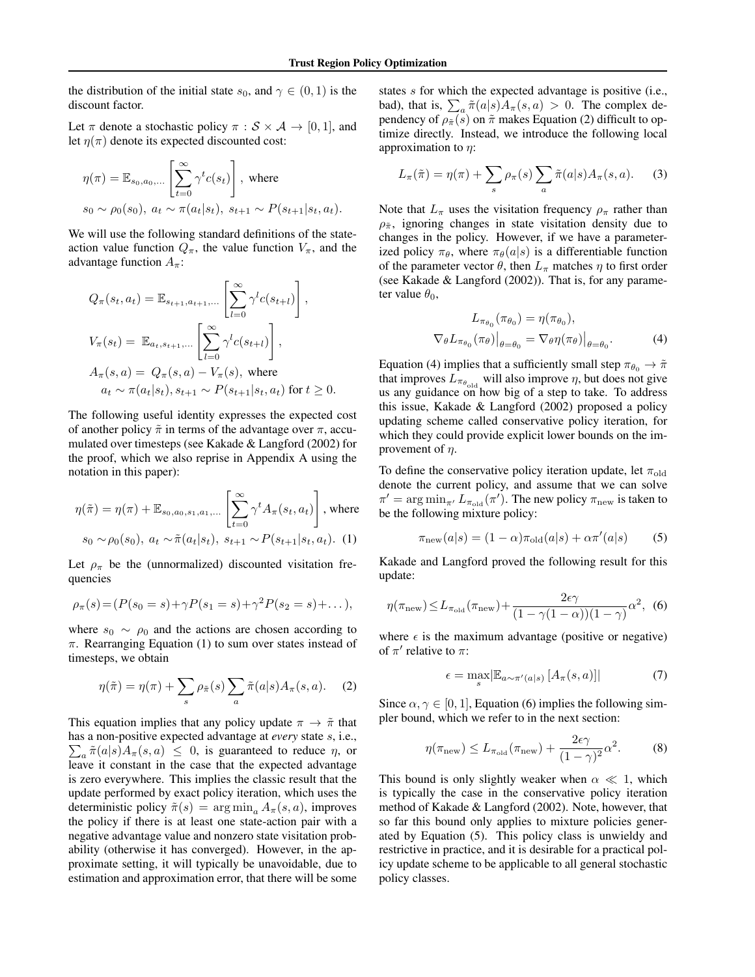the distribution of the initial state  $s_0$ , and  $\gamma \in (0, 1)$  is the discount factor.

Let  $\pi$  denote a stochastic policy  $\pi : \mathcal{S} \times \mathcal{A} \rightarrow [0, 1]$ , and let  $\eta(\pi)$  denote its expected discounted cost:

$$
\eta(\pi) = \mathbb{E}_{s_0, a_0, \dots} \left[ \sum_{t=0}^{\infty} \gamma^t c(s_t) \right], \text{ where}
$$
  

$$
s_0 \sim \rho_0(s_0), \ a_t \sim \pi(a_t|s_t), \ s_{t+1} \sim P(s_{t+1}|s_t, a_t).
$$

We will use the following standard definitions of the stateaction value function  $Q_{\pi}$ , the value function  $V_{\pi}$ , and the advantage function  $A_{\pi}$ :

$$
Q_{\pi}(s_t, a_t) = \mathbb{E}_{s_{t+1}, a_{t+1}, \dots} \left[ \sum_{l=0}^{\infty} \gamma^l c(s_{t+l}) \right],
$$
  

$$
V_{\pi}(s_t) = \mathbb{E}_{a_t, s_{t+1}, \dots} \left[ \sum_{l=0}^{\infty} \gamma^l c(s_{t+l}) \right],
$$
  

$$
A_{\pi}(s, a) = Q_{\pi}(s, a) - V_{\pi}(s),
$$
 where  

$$
a_t \sim \pi(a_t|s_t), s_{t+1} \sim P(s_{t+1}|s_t, a_t)
$$
 for  $t \ge 0$ 

The following useful identity expresses the expected cost of another policy  $\tilde{\pi}$  in terms of the advantage over  $\pi$ , accumulated over timesteps (see Kakade & Langford (2002) for the proof, which we also reprise in Appendix A using the notation in this paper):

$$
\eta(\tilde{\pi}) = \eta(\pi) + \mathbb{E}_{s_0, a_0, s_1, a_1, \dots} \left[ \sum_{t=0}^{\infty} \gamma^t A_{\pi}(s_t, a_t) \right], \text{ where}
$$
  
 
$$
s_0 \sim \rho_0(s_0), \ a_t \sim \tilde{\pi}(a_t|s_t), \ s_{t+1} \sim P(s_{t+1}|s_t, a_t). \tag{1}
$$

Let  $\rho_{\pi}$  be the (unnormalized) discounted visitation frequencies

$$
\rho_{\pi}(s) = (P(s_0 = s) + \gamma P(s_1 = s) + \gamma^2 P(s_2 = s) + \dots),
$$

where  $s_0 \sim \rho_0$  and the actions are chosen according to  $\pi$ . Rearranging Equation (1) to sum over states instead of timesteps, we obtain

$$
\eta(\tilde{\pi}) = \eta(\pi) + \sum_{s} \rho_{\tilde{\pi}}(s) \sum_{a} \tilde{\pi}(a|s) A_{\pi}(s, a). \tag{2}
$$

This equation implies that any policy update  $\pi \to \tilde{\pi}$  that has a non-positive expected advantage at *every* state *s*, i.e.,  $\sum_{a} \tilde{\pi}(a|s) A_{\pi}(s, a) \leq 0$ , is guaranteed to reduce  $\eta$ , or leave it constant in the case that the expected advantage is zero everywhere. This implies the classic result that the update performed by exact policy iteration, which uses the deterministic policy  $\tilde{\pi}(s) = \arg \min_a A_{\pi}(s, a)$ , improves the policy if there is at least one state-action pair with a negative advantage value and nonzero state visitation probability (otherwise it has converged). However, in the approximate setting, it will typically be unavoidable, due to estimation and approximation error, that there will be some states *s* for which the expected advantage is positive (i.e., bad), that is,  $\sum_{a} \tilde{\pi}(a|s) A_{\pi}(s, a) > 0$ . The complex dependency of  $\rho_{\tilde{\pi}}(s)$  on  $\tilde{\pi}$  makes Equation (2) difficult to optimize directly. Instead, we introduce the following local approximation to  $\eta$ :

$$
L_{\pi}(\tilde{\pi}) = \eta(\pi) + \sum_{s} \rho_{\pi}(s) \sum_{a} \tilde{\pi}(a|s) A_{\pi}(s, a). \tag{3}
$$

Note that  $L_{\pi}$  uses the visitation frequency  $\rho_{\pi}$  rather than  $\rho_{\tilde{\pi}}$ , ignoring changes in state visitation density due to changes in the policy. However, if we have a parameterized policy  $\pi_{\theta}$ , where  $\pi_{\theta}(a|s)$  is a differentiable function of the parameter vector  $\theta$ , then  $L_{\pi}$  matches  $\eta$  to first order (see Kakade & Langford (2002)). That is, for any parameter value  $\theta_0$ ,

$$
L_{\pi_{\theta_0}}(\pi_{\theta_0}) = \eta(\pi_{\theta_0}),
$$
  

$$
\nabla_{\theta} L_{\pi_{\theta_0}}(\pi_{\theta})|_{\theta = \theta_0} = \nabla_{\theta} \eta(\pi_{\theta})|_{\theta = \theta_0}.
$$
 (4)

Equation (4) implies that a sufficiently small step  $\pi_{\theta_0} \to \tilde{\pi}$ that improves  $L_{\pi_{\theta_{\text{old}}}}$  will also improve  $\eta$ , but does not give us any guidance on how big of a step to take. To address this issue, Kakade & Langford (2002) proposed a policy updating scheme called conservative policy iteration, for which they could provide explicit lower bounds on the improvement of  $\eta$ .

To define the conservative policy iteration update, let  $\pi_{old}$ denote the current policy, and assume that we can solve  $\pi' = \arg \min_{\pi'} L_{\pi_{\text{old}}}(\pi')$ . The new policy  $\pi_{\text{new}}$  is taken to be the following mixture policy:

$$
\pi_{\text{new}}(a|s) = (1 - \alpha)\pi_{\text{old}}(a|s) + \alpha \pi'(a|s) \tag{5}
$$

Kakade and Langford proved the following result for this update:

$$
\eta(\pi_{\text{new}}) \le L_{\pi_{\text{old}}}(\pi_{\text{new}}) + \frac{2\epsilon\gamma}{(1 - \gamma(1 - \alpha))(1 - \gamma)}\alpha^2, \tag{6}
$$

where  $\epsilon$  is the maximum advantage (positive or negative) of  $\pi'$  relative to  $\pi$ :

$$
\epsilon = \max_{s} |\mathbb{E}_{a \sim \pi'(a|s)} [A_{\pi}(s, a)]| \tag{7}
$$

Since  $\alpha, \gamma \in [0, 1]$ , Equation (6) implies the following simpler bound, which we refer to in the next section:

$$
\eta(\pi_{\text{new}}) \le L_{\pi_{\text{old}}}(\pi_{\text{new}}) + \frac{2\epsilon\gamma}{(1-\gamma)^2}\alpha^2.
$$
 (8)

This bound is only slightly weaker when  $\alpha \ll 1$ , which is typically the case in the conservative policy iteration method of Kakade & Langford (2002). Note, however, that so far this bound only applies to mixture policies generated by Equation (5). This policy class is unwieldy and restrictive in practice, and it is desirable for a practical policy update scheme to be applicable to all general stochastic policy classes.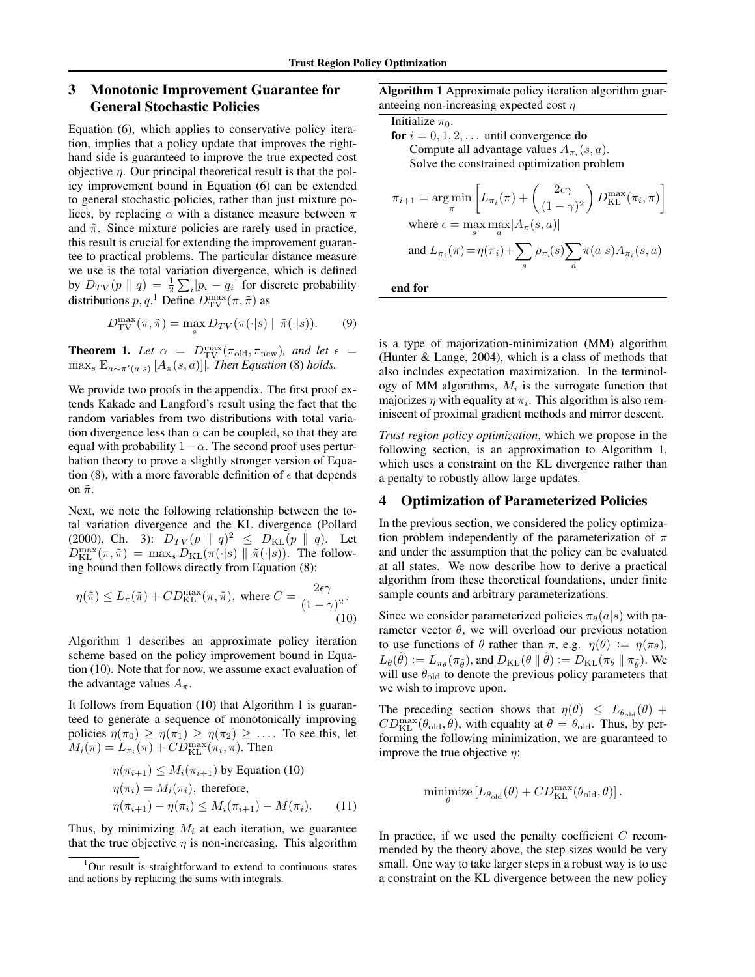## 3 Monotonic Improvement Guarantee for General Stochastic Policies

Equation (6), which applies to conservative policy iteration, implies that a policy update that improves the righthand side is guaranteed to improve the true expected cost objective  $\eta$ . Our principal theoretical result is that the policy improvement bound in Equation (6) can be extended to general stochastic policies, rather than just mixture polices, by replacing  $\alpha$  with a distance measure between  $\pi$ and  $\tilde{\pi}$ . Since mixture policies are rarely used in practice, this result is crucial for extending the improvement guarantee to practical problems. The particular distance measure we use is the total variation divergence, which is defined by  $D_{TV}(p \parallel q) = \frac{1}{2} \sum_i |p_i - q_i|$  for discrete probability distributions  $p, q$ <sup>1</sup> Define  $D_{\text{TV}}^{\text{max}}(\pi, \tilde{\pi})$  as

$$
D_{\text{TV}}^{\text{max}}(\pi, \tilde{\pi}) = \max_{s} D_{TV}(\pi(\cdot | s) \parallel \tilde{\pi}(\cdot | s)). \tag{9}
$$

**Theorem 1.** Let  $\alpha = D_{\text{TV}}^{\max}(\pi_{\text{old}}, \pi_{\text{new}})$ , and let  $\epsilon =$  $\max_{s}$   $\left[\mathbb{E}_{a \sim \pi'(a|s)} [A_{\pi}(s, a)]\right]$ *. Then Equation* (8) *holds.* 

We provide two proofs in the appendix. The first proof extends Kakade and Langford's result using the fact that the random variables from two distributions with total variation divergence less than  $\alpha$  can be coupled, so that they are equal with probability  $1-\alpha$ . The second proof uses perturbation theory to prove a slightly stronger version of Equation (8), with a more favorable definition of  $\epsilon$  that depends on  $\tilde{\pi}$ .

Next, we note the following relationship between the total variation divergence and the KL divergence (Pollard (2000), Ch. 3):  $D_{TV}(p \parallel q)^2 \leq D_{KL}(p \parallel q)$ . Let  $D_{\text{KL}}^{\text{max}}(\pi, \tilde{\pi}) = \max_{s} D_{\text{KL}}(\pi(\cdot | s) \parallel \tilde{\pi}(\cdot | s)).$  The following bound then follows directly from Equation (8):

$$
\eta(\tilde{\pi}) \le L_{\pi}(\tilde{\pi}) + CD_{\text{KL}}^{\max}(\pi, \tilde{\pi}), \text{ where } C = \frac{2\epsilon\gamma}{(1 - \gamma)^2}.
$$
\n(10)

Algorithm 1 describes an approximate policy iteration scheme based on the policy improvement bound in Equation (10). Note that for now, we assume exact evaluation of the advantage values  $A_{\pi}$ .

It follows from Equation (10) that Algorithm 1 is guaranteed to generate a sequence of monotonically improving policies  $\eta(\pi_0) \geq \eta(\pi_1) \geq \eta(\pi_2) \geq \ldots$  To see this, let  $M_i(\pi) = L_{\pi_i}(\pi) + CD_{\text{KL}}^{\text{max}}(\pi_i, \pi)$ . Then

$$
\eta(\pi_{i+1}) \le M_i(\pi_{i+1}) \text{ by Equation (10)}
$$
  

$$
\eta(\pi_i) = M_i(\pi_i), \text{ therefore,}
$$
  

$$
\eta(\pi_{i+1}) - \eta(\pi_i) \le M_i(\pi_{i+1}) - M(\pi_i).
$$
 (11)

Thus, by minimizing  $M_i$  at each iteration, we guarantee that the true objective  $\eta$  is non-increasing. This algorithm Algorithm 1 Approximate policy iteration algorithm guaranteeing non-increasing expected cost  $\eta$ 

Initialize 
$$
\pi_0
$$
.

\nfor  $i = 0, 1, 2, \ldots$  until convergence **do**

\nCompute all advantage values  $A_{\pi_i}(s, a)$ . Solve the constrained optimization problem.

$$
\pi_{i+1} = \arg\min_{\pi} \left[ L_{\pi_i}(\pi) + \left( \frac{2\epsilon\gamma}{(1-\gamma)^2} \right) D_{\text{KL}}^{\max}(\pi_i, \pi) \right]
$$
  
where  $\epsilon = \max_s \max_a |A_{\pi}(s, a)|$   
and  $L_{\pi_i}(\pi) = \eta(\pi_i) + \sum_s \rho_{\pi_i}(s) \sum_a \pi(a|s) A_{\pi_i}(s, a)$ 

end for

is a type of majorization-minimization (MM) algorithm (Hunter & Lange, 2004), which is a class of methods that also includes expectation maximization. In the terminology of MM algorithms,  $M_i$  is the surrogate function that majorizes  $\eta$  with equality at  $\pi_i$ . This algorithm is also reminiscent of proximal gradient methods and mirror descent.

*Trust region policy optimization*, which we propose in the following section, is an approximation to Algorithm 1, which uses a constraint on the KL divergence rather than a penalty to robustly allow large updates.

## 4 Optimization of Parameterized Policies

In the previous section, we considered the policy optimization problem independently of the parameterization of  $\pi$ and under the assumption that the policy can be evaluated at all states. We now describe how to derive a practical algorithm from these theoretical foundations, under finite sample counts and arbitrary parameterizations.

Since we consider parameterized policies  $\pi_{\theta}(a|s)$  with parameter vector  $\theta$ , we will overload our previous notation to use functions of  $\theta$  rather than  $\pi$ , e.g.  $\eta(\theta) := \eta(\pi_{\theta})$ ,  $L_{\theta}(\tilde{\theta}) := L_{\pi_{\theta}}(\pi_{\tilde{\theta}})$ , and  $D_{\mathrm{KL}}(\theta \parallel \tilde{\theta}) := D_{\mathrm{KL}}(\pi_{\theta} \parallel \pi_{\tilde{\theta}})$ . We will use  $\theta_{old}$  to denote the previous policy parameters that we wish to improve upon.

The preceding section shows that  $\eta(\theta) \leq L_{\theta_{old}}(\theta) +$  $CD_{\text{KL}}^{\text{max}}(\theta_{\text{old}}, \theta)$ , with equality at  $\theta = \theta_{\text{old}}$ . Thus, by performing the following minimization, we are guaranteed to improve the true objective  $\eta$ :

$$
\underset{\theta}{\text{minimize}} \left[ L_{\theta_{\text{old}}}(\theta) + CD_{\text{KL}}^{\text{max}}(\theta_{\text{old}}, \theta) \right].
$$

In practice, if we used the penalty coefficient *C* recommended by the theory above, the step sizes would be very small. One way to take larger steps in a robust way is to use a constraint on the KL divergence between the new policy

<sup>&</sup>lt;sup>1</sup>Our result is straightforward to extend to continuous states and actions by replacing the sums with integrals.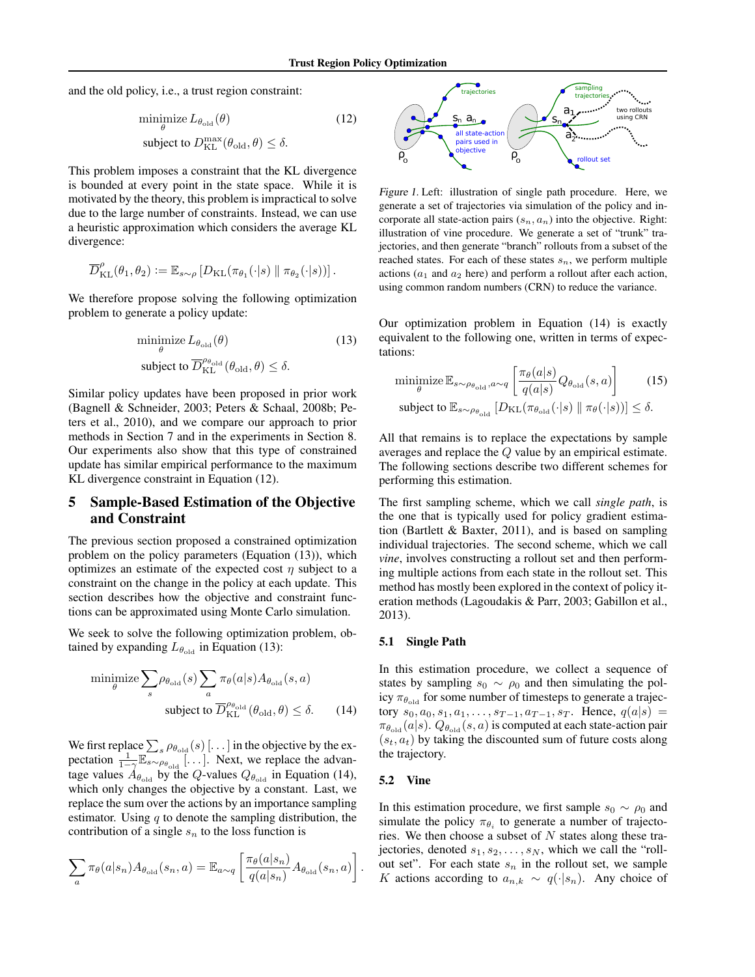and the old policy, i.e., a trust region constraint:

$$
\begin{array}{ll}\n\text{minimize } L_{\theta_{\text{old}}}(\theta) & \text{(12)} \\
\text{subject to } D_{\text{KL}}^{\text{max}}(\theta_{\text{old}}, \theta) \leq \delta.\n\end{array}
$$

This problem imposes a constraint that the KL divergence is bounded at every point in the state space. While it is motivated by the theory, this problem is impractical to solve due to the large number of constraints. Instead, we can use a heuristic approximation which considers the average KL divergence:

$$
\overline{D}_{\text{KL}}^{\rho}(\theta_1,\theta_2) := \mathbb{E}_{s \sim \rho} \left[ D_{\text{KL}}(\pi_{\theta_1}(\cdot|s) \parallel \pi_{\theta_2}(\cdot|s)) \right].
$$

We therefore propose solving the following optimization problem to generate a policy update:

$$
\begin{aligned} \underset{\theta}{\text{minimize}} \, L_{\theta_{\text{old}}}(\theta) & \quad (13) \\ \text{subject to } \overline{D}_{\text{KL}}^{\rho_{\theta_{\text{old}}}}(\theta_{\text{old}}, \theta) \leq \delta. \end{aligned}
$$

Similar policy updates have been proposed in prior work (Bagnell & Schneider, 2003; Peters & Schaal, 2008b; Peters et al., 2010), and we compare our approach to prior methods in Section 7 and in the experiments in Section 8. Our experiments also show that this type of constrained update has similar empirical performance to the maximum KL divergence constraint in Equation (12).

## 5 Sample-Based Estimation of the Objective and Constraint

The previous section proposed a constrained optimization problem on the policy parameters (Equation (13)), which optimizes an estimate of the expected cost  $\eta$  subject to a constraint on the change in the policy at each update. This section describes how the objective and constraint functions can be approximated using Monte Carlo simulation.

We seek to solve the following optimization problem, obtained by expanding  $L_{\theta_{old}}$  in Equation (13):

minimize 
$$
\sum_{s} \rho_{\theta_{\text{old}}}(s) \sum_{a} \pi_{\theta}(a|s) A_{\theta_{\text{old}}}(s, a)
$$
  
subject to  $\overline{D}_{\text{KL}}^{\rho_{\theta_{\text{old}}}}(\theta_{\text{old}}, \theta) \leq \delta$ . (14)

We first replace  $\sum_s \rho_{\theta_{\text{old}}}(s)$  [...] in the objective by the expectation  $\frac{1}{1-\gamma}\mathbb{E}_{s \sim \rho_{\theta_{\text{old}}}}$ [...]. Next, we replace the advantage values  $A_{\theta_{old}}$  by the *Q*-values  $Q_{\theta_{old}}$  in Equation (14), which only changes the objective by a constant. Last, we replace the sum over the actions by an importance sampling estimator. Using *q* to denote the sampling distribution, the contribution of a single  $s_n$  to the loss function is

$$
\sum_{a} \pi_{\theta}(a|s_n) A_{\theta_{\text{old}}}(s_n, a) = \mathbb{E}_{a \sim q} \left[ \frac{\pi_{\theta}(a|s_n)}{q(a|s_n)} A_{\theta_{\text{old}}}(s_n, a) \right].
$$



*Figure 1.* Left: illustration of single path procedure. Here, we generate a set of trajectories via simulation of the policy and incorporate all state-action pairs  $(s_n, a_n)$  into the objective. Right: illustration of vine procedure. We generate a set of "trunk" trajectories, and then generate "branch" rollouts from a subset of the reached states. For each of these states  $s_n$ , we perform multiple actions  $(a_1$  and  $a_2$  here) and perform a rollout after each action, using common random numbers (CRN) to reduce the variance.

Our optimization problem in Equation (14) is exactly equivalent to the following one, written in terms of expectations:

$$
\underset{\theta}{\text{minimize}} \mathbb{E}_{s \sim \rho_{\theta_{\text{old}}}, a \sim q} \left[ \frac{\pi_{\theta}(a|s)}{q(a|s)} Q_{\theta_{\text{old}}}(s, a) \right] \tag{15}
$$
\n
$$
\text{subject to } \mathbb{E}_{s \sim \rho_{\theta_{\text{old}}}} [D_{\text{KL}}(\pi_{\theta_{\text{old}}}(\cdot|s) \parallel \pi_{\theta}(\cdot|s))] \le \delta.
$$

All that remains is to replace the expectations by sample averages and replace the *Q* value by an empirical estimate. The following sections describe two different schemes for performing this estimation.

The first sampling scheme, which we call *single path*, is the one that is typically used for policy gradient estimation (Bartlett & Baxter, 2011), and is based on sampling individual trajectories. The second scheme, which we call *vine*, involves constructing a rollout set and then performing multiple actions from each state in the rollout set. This method has mostly been explored in the context of policy iteration methods (Lagoudakis & Parr, 2003; Gabillon et al., 2013).

#### 5.1 Single Path

In this estimation procedure, we collect a sequence of states by sampling  $s_0 \sim \rho_0$  and then simulating the policy  $\pi_{\theta_{old}}$  for some number of timesteps to generate a trajec- $\text{tory } s_0, a_0, s_1, a_1, \ldots, s_{T-1}, a_{T-1}, s_T. \text{ Hence, } q(a|s) =$  $\pi_{\theta_{old}}(a|s)$ .  $Q_{\theta_{old}}(s, a)$  is computed at each state-action pair  $(s_t, a_t)$  by taking the discounted sum of future costs along the trajectory.

#### 5.2 Vine

In this estimation procedure, we first sample  $s_0 \sim \rho_0$  and simulate the policy  $\pi_{\theta_i}$  to generate a number of trajectories. We then choose a subset of *N* states along these trajectories, denoted  $s_1, s_2, \ldots, s_N$ , which we call the "rollout set". For each state  $s_n$  in the rollout set, we sample *K* actions according to  $a_{n,k} \sim q(\cdot|s_n)$ . Any choice of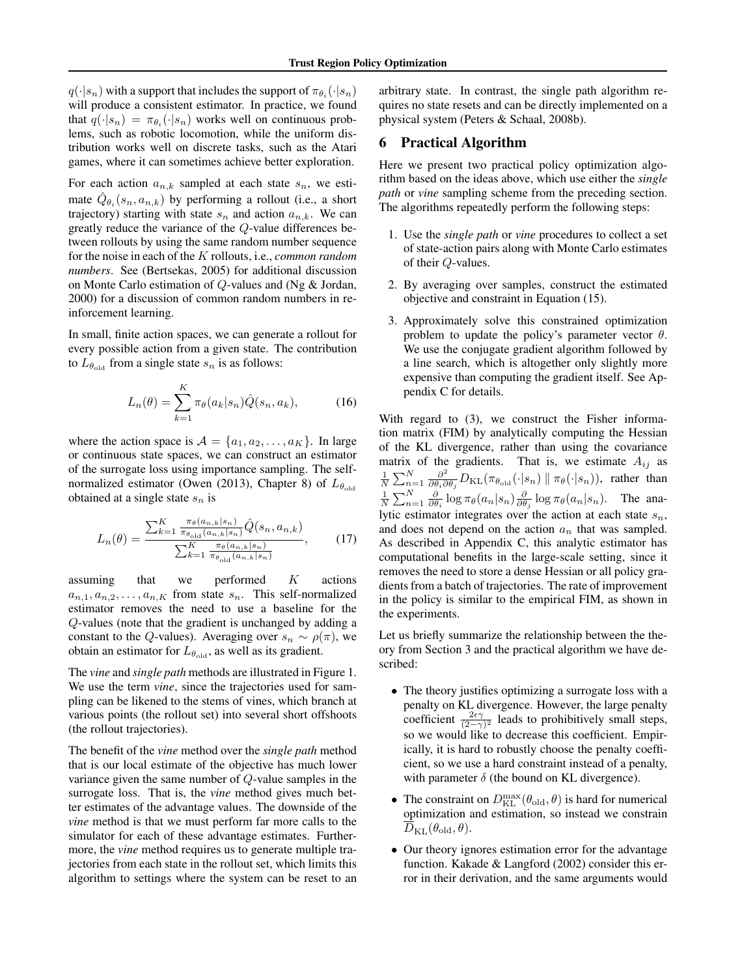$q(\cdot|s_n)$  with a support that includes the support of  $\pi_{\theta_i}(\cdot|s_n)$ will produce a consistent estimator. In practice, we found that  $q(\cdot|s_n) = \pi_{\theta_i}(\cdot|s_n)$  works well on continuous problems, such as robotic locomotion, while the uniform distribution works well on discrete tasks, such as the Atari games, where it can sometimes achieve better exploration.

For each action  $a_{n,k}$  sampled at each state  $s_n$ , we estimate  $\hat{Q}_{\theta_i}(s_n, a_{n,k})$  by performing a rollout (i.e., a short trajectory) starting with state  $s_n$  and action  $a_{n,k}$ . We can greatly reduce the variance of the *Q*-value differences between rollouts by using the same random number sequence for the noise in each of the *K* rollouts, i.e., *common random numbers*. See (Bertsekas, 2005) for additional discussion on Monte Carlo estimation of *Q*-values and (Ng & Jordan, 2000) for a discussion of common random numbers in reinforcement learning.

In small, finite action spaces, we can generate a rollout for every possible action from a given state. The contribution to  $L_{\theta_{old}}$  from a single state  $s_n$  is as follows:

$$
L_n(\theta) = \sum_{k=1}^K \pi_\theta(a_k|s_n) \hat{Q}(s_n, a_k), \tag{16}
$$

where the action space is  $A = \{a_1, a_2, \ldots, a_K\}$ . In large or continuous state spaces, we can construct an estimator of the surrogate loss using importance sampling. The selfnormalized estimator (Owen (2013), Chapter 8) of  $L_{\theta_{\text{old}}}$ obtained at a single state *s<sup>n</sup>* is

$$
L_n(\theta) = \frac{\sum_{k=1}^K \frac{\pi_\theta(a_{n,k}|s_n)}{\pi_{\theta_{\text{old}}}(a_{n,k}|s_n)} \hat{Q}(s_n, a_{n,k})}{\sum_{k=1}^K \frac{\pi_\theta(a_{n,k}|s_n)}{\pi_{\theta_{\text{old}}}(a_{n,k}|s_n)}},
$$
(17)

assuming that we performed *K* actions  $a_{n,1}, a_{n,2}, \ldots, a_{n,K}$  from state  $s_n$ . This self-normalized estimator removes the need to use a baseline for the *Q*-values (note that the gradient is unchanged by adding a constant to the *Q*-values). Averaging over  $s_n \sim \rho(\pi)$ , we obtain an estimator for  $L_{\theta_{old}}$ , as well as its gradient.

The *vine* and *single path* methods are illustrated in Figure 1. We use the term *vine*, since the trajectories used for sampling can be likened to the stems of vines, which branch at various points (the rollout set) into several short offshoots (the rollout trajectories).

The benefit of the *vine* method over the *single path* method that is our local estimate of the objective has much lower variance given the same number of *Q*-value samples in the surrogate loss. That is, the *vine* method gives much better estimates of the advantage values. The downside of the *vine* method is that we must perform far more calls to the simulator for each of these advantage estimates. Furthermore, the *vine* method requires us to generate multiple trajectories from each state in the rollout set, which limits this algorithm to settings where the system can be reset to an

arbitrary state. In contrast, the single path algorithm requires no state resets and can be directly implemented on a physical system (Peters & Schaal, 2008b).

### 6 Practical Algorithm

Here we present two practical policy optimization algorithm based on the ideas above, which use either the *single path* or *vine* sampling scheme from the preceding section. The algorithms repeatedly perform the following steps:

- 1. Use the *single path* or *vine* procedures to collect a set of state-action pairs along with Monte Carlo estimates of their *Q*-values.
- 2. By averaging over samples, construct the estimated objective and constraint in Equation (15).
- 3. Approximately solve this constrained optimization problem to update the policy's parameter vector  $\theta$ . We use the conjugate gradient algorithm followed by a line search, which is altogether only slightly more expensive than computing the gradient itself. See Appendix C for details.

With regard to  $(3)$ , we construct the Fisher information matrix (FIM) by analytically computing the Hessian of the KL divergence, rather than using the covariance matrix of the gradients. That is, we estimate  $A_{ij}$  as  $\frac{1}{N} \sum_{n=1}^{N} \frac{\partial^2}{\partial \theta_i \partial \theta_j} D_{\text{KL}}(\pi_{\theta_{\text{old}}}(\cdot | s_n) \| \pi_\theta(\cdot | s_n)),$  rather than  $\frac{1}{N} \sum_{n=1}^{N} \frac{\partial}{\partial \theta_i} \log \pi_{\theta}(a_n | s_n) \frac{\partial}{\partial \theta_j} \log \pi_{\theta}(a_n | s_n)$ . The analytic estimator integrates over the action at each state *sn*, and does not depend on the action *a<sup>n</sup>* that was sampled. As described in Appendix C, this analytic estimator has computational benefits in the large-scale setting, since it removes the need to store a dense Hessian or all policy gradients from a batch of trajectories. The rate of improvement in the policy is similar to the empirical FIM, as shown in the experiments.

Let us briefly summarize the relationship between the theory from Section 3 and the practical algorithm we have described:

- *•* The theory justifies optimizing a surrogate loss with a penalty on KL divergence. However, the large penalty coefficient  $\frac{2\epsilon\gamma}{(2-\gamma)^2}$  leads to prohibitively small steps, so we would like to decrease this coefficient. Empirically, it is hard to robustly choose the penalty coefficient, so we use a hard constraint instead of a penalty, with parameter  $\delta$  (the bound on KL divergence).
- The constraint on  $D_{\text{KL}}^{\text{max}}(\theta_{\text{old}}, \theta)$  is hard for numerical optimization and estimation, so instead we constrain  $\overline{D}_{\text{KL}}(\theta_{\text{old}}, \theta)$ .
- *•* Our theory ignores estimation error for the advantage function. Kakade & Langford (2002) consider this error in their derivation, and the same arguments would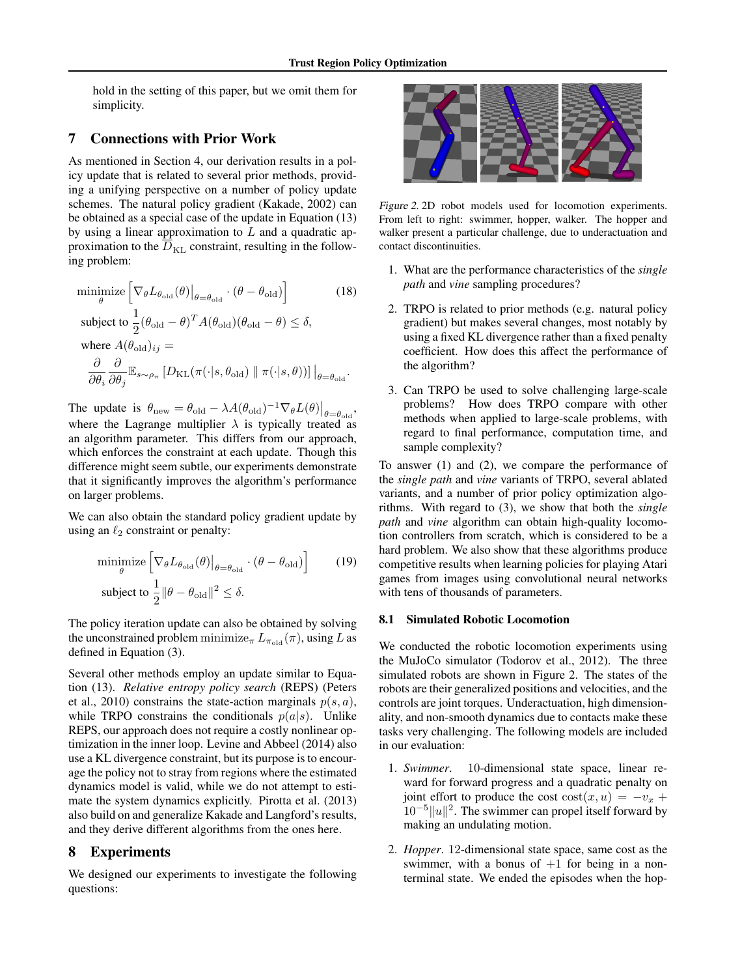hold in the setting of this paper, but we omit them for simplicity.

## 7 Connections with Prior Work

As mentioned in Section 4, our derivation results in a policy update that is related to several prior methods, providing a unifying perspective on a number of policy update schemes. The natural policy gradient (Kakade, 2002) can be obtained as a special case of the update in Equation (13) by using a linear approximation to *L* and a quadratic approximation to the  $D_{\text{KL}}$  constraint, resulting in the following problem:

$$
\underset{\theta}{\text{minimize}} \left[ \nabla_{\theta} L_{\theta_{\text{old}}}(\theta) \big|_{\theta = \theta_{\text{old}}} \cdot (\theta - \theta_{\text{old}}) \right] \tag{18}
$$
\n
$$
\text{subject to } \frac{1}{2} (\theta_{\text{old}} - \theta)^{T} A(\theta_{\text{old}}) (\theta_{\text{old}} - \theta) \le \delta,
$$
\n
$$
\text{where } A(\theta_{\text{old}})_{ij} =
$$
\n
$$
\frac{\partial}{\partial \theta_{i}} \frac{\partial}{\partial \theta_{j}} \mathbb{E}_{s \sim \rho_{\pi}} \left[ D_{\text{KL}}(\pi(\cdot|s, \theta_{\text{old}}) \parallel \pi(\cdot|s, \theta)) \right] \big|_{\theta = \theta_{\text{old}}}.
$$

The update is  $\theta_{\text{new}} = \theta_{\text{old}} - \lambda A(\theta_{\text{old}})^{-1} \nabla_{\theta} L(\theta)|_{\theta = \theta_{\text{old}}}$ , where the Lagrange multiplier  $\lambda$  is typically treated as an algorithm parameter. This differs from our approach, which enforces the constraint at each update. Though this difference might seem subtle, our experiments demonstrate that it significantly improves the algorithm's performance on larger problems.

We can also obtain the standard policy gradient update by using an  $\ell_2$  constraint or penalty:

$$
\underset{\theta}{\text{minimize}} \left[ \nabla_{\theta} L_{\theta_{\text{old}}}(\theta) \big|_{\theta = \theta_{\text{old}}} \cdot (\theta - \theta_{\text{old}}) \right] \tag{19}
$$
\n
$$
\text{subject to } \frac{1}{2} ||\theta - \theta_{\text{old}}||^2 \le \delta.
$$

The policy iteration update can also be obtained by solving the unconstrained problem minimize<sub> $\pi$ </sub>  $L_{\pi_{old}}(\pi)$ , using *L* as defined in Equation (3).

Several other methods employ an update similar to Equation (13). *Relative entropy policy search* (REPS) (Peters et al., 2010) constrains the state-action marginals  $p(s, a)$ , while TRPO constrains the conditionals  $p(a|s)$ . Unlike REPS, our approach does not require a costly nonlinear optimization in the inner loop. Levine and Abbeel (2014) also use a KL divergence constraint, but its purpose is to encourage the policy not to stray from regions where the estimated dynamics model is valid, while we do not attempt to estimate the system dynamics explicitly. Pirotta et al. (2013) also build on and generalize Kakade and Langford's results, and they derive different algorithms from the ones here.

### 8 Experiments

We designed our experiments to investigate the following questions:



*Figure 2.* 2D robot models used for locomotion experiments. From left to right: swimmer, hopper, walker. The hopper and walker present a particular challenge, due to underactuation and contact discontinuities.

- 1. What are the performance characteristics of the *single path* and *vine* sampling procedures?
- 2. TRPO is related to prior methods (e.g. natural policy gradient) but makes several changes, most notably by using a fixed KL divergence rather than a fixed penalty coefficient. How does this affect the performance of the algorithm?
- 3. Can TRPO be used to solve challenging large-scale problems? How does TRPO compare with other methods when applied to large-scale problems, with regard to final performance, computation time, and sample complexity?

To answer (1) and (2), we compare the performance of the *single path* and *vine* variants of TRPO, several ablated variants, and a number of prior policy optimization algorithms. With regard to (3), we show that both the *single path* and *vine* algorithm can obtain high-quality locomotion controllers from scratch, which is considered to be a hard problem. We also show that these algorithms produce competitive results when learning policies for playing Atari games from images using convolutional neural networks with tens of thousands of parameters.

#### 8.1 Simulated Robotic Locomotion

We conducted the robotic locomotion experiments using the MuJoCo simulator (Todorov et al., 2012). The three simulated robots are shown in Figure 2. The states of the robots are their generalized positions and velocities, and the controls are joint torques. Underactuation, high dimensionality, and non-smooth dynamics due to contacts make these tasks very challenging. The following models are included in our evaluation:

- 1. *Swimmer*. 10-dimensional state space, linear reward for forward progress and a quadratic penalty on joint effort to produce the cost  $\text{cost}(x, u) = -v_x +$  $10^{-5}$ ||u||<sup>2</sup>. The swimmer can propel itself forward by making an undulating motion.
- 2. *Hopper*. 12-dimensional state space, same cost as the swimmer, with a bonus of  $+1$  for being in a nonterminal state. We ended the episodes when the hop-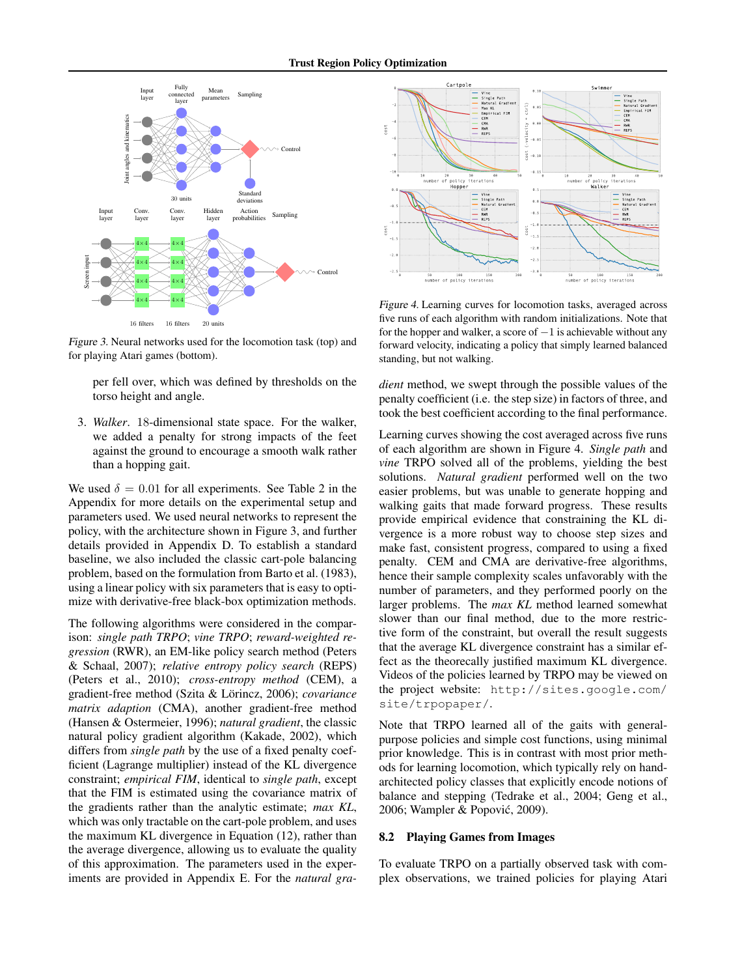

*Figure 3.* Neural networks used for the locomotion task (top) and for playing Atari games (bottom).

per fell over, which was defined by thresholds on the torso height and angle.

3. *Walker*. 18-dimensional state space. For the walker, we added a penalty for strong impacts of the feet against the ground to encourage a smooth walk rather than a hopping gait.

We used  $\delta = 0.01$  for all experiments. See Table 2 in the Appendix for more details on the experimental setup and parameters used. We used neural networks to represent the policy, with the architecture shown in Figure 3, and further details provided in Appendix D. To establish a standard baseline, we also included the classic cart-pole balancing problem, based on the formulation from Barto et al. (1983), using a linear policy with six parameters that is easy to optimize with derivative-free black-box optimization methods.

The following algorithms were considered in the comparison: *single path TRPO*; *vine TRPO*; *reward-weighted regression* (RWR), an EM-like policy search method (Peters & Schaal, 2007); *relative entropy policy search* (REPS) (Peters et al., 2010); *cross-entropy method* (CEM), a gradient-free method (Szita & Lörincz, 2006); *covariance matrix adaption* (CMA), another gradient-free method (Hansen & Ostermeier, 1996); *natural gradient*, the classic natural policy gradient algorithm (Kakade, 2002), which differs from *single path* by the use of a fixed penalty coefficient (Lagrange multiplier) instead of the KL divergence constraint; *empirical FIM*, identical to *single path*, except that the FIM is estimated using the covariance matrix of the gradients rather than the analytic estimate; *max KL*, which was only tractable on the cart-pole problem, and uses the maximum KL divergence in Equation (12), rather than the average divergence, allowing us to evaluate the quality of this approximation. The parameters used in the experiments are provided in Appendix E. For the *natural gra-*



*Figure 4.* Learning curves for locomotion tasks, averaged across five runs of each algorithm with random initializations. Note that for the hopper and walker, a score of  $-1$  is achievable without any forward velocity, indicating a policy that simply learned balanced standing, but not walking.

*dient* method, we swept through the possible values of the penalty coefficient (i.e. the step size) in factors of three, and took the best coefficient according to the final performance.

Learning curves showing the cost averaged across five runs of each algorithm are shown in Figure 4. *Single path* and *vine* TRPO solved all of the problems, yielding the best solutions. *Natural gradient* performed well on the two easier problems, but was unable to generate hopping and walking gaits that made forward progress. These results provide empirical evidence that constraining the KL divergence is a more robust way to choose step sizes and make fast, consistent progress, compared to using a fixed penalty. CEM and CMA are derivative-free algorithms, hence their sample complexity scales unfavorably with the number of parameters, and they performed poorly on the larger problems. The *max KL* method learned somewhat slower than our final method, due to the more restrictive form of the constraint, but overall the result suggests that the average KL divergence constraint has a similar effect as the theorecally justified maximum KL divergence. Videos of the policies learned by TRPO may be viewed on the project website: http://sites.google.com/ site/trpopaper/.

Note that TRPO learned all of the gaits with generalpurpose policies and simple cost functions, using minimal prior knowledge. This is in contrast with most prior methods for learning locomotion, which typically rely on handarchitected policy classes that explicitly encode notions of balance and stepping (Tedrake et al., 2004; Geng et al., 2006; Wampler & Popovic, 2009). ´

#### 8.2 Playing Games from Images

To evaluate TRPO on a partially observed task with complex observations, we trained policies for playing Atari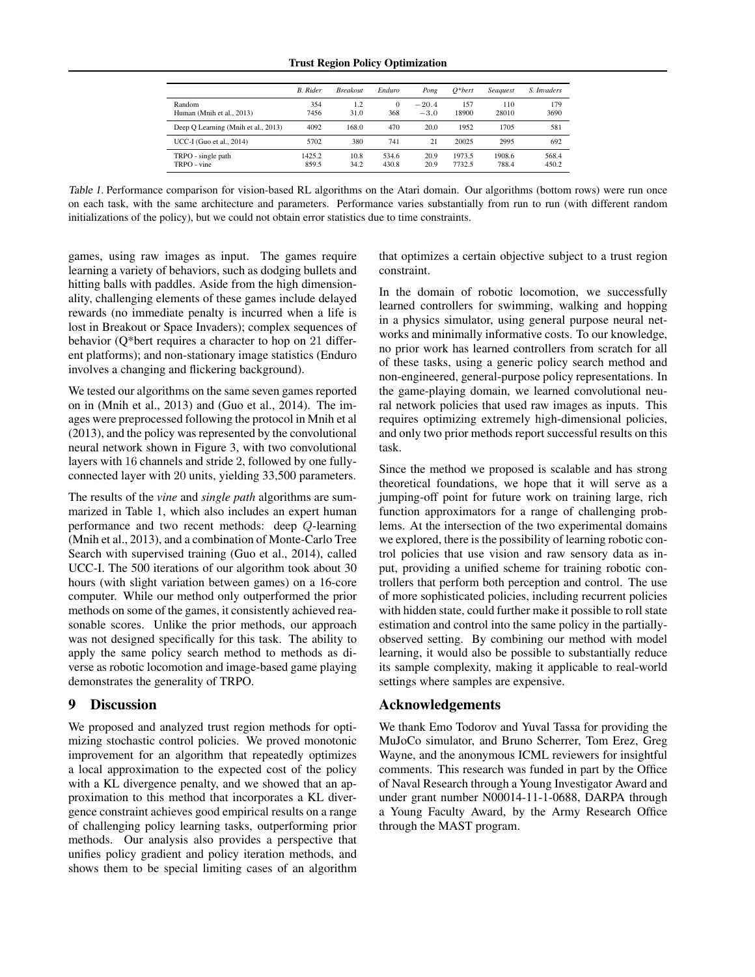#### Trust Region Policy Optimization

|                                     | <b>B.</b> Rider | <b>Breakout</b> | Enduro          | Pong              | $O^*$ bert       | Seaguest        | S. Invaders    |
|-------------------------------------|-----------------|-----------------|-----------------|-------------------|------------------|-----------------|----------------|
| Random<br>Human (Mnih et al., 2013) | 354<br>7456     | 1.2<br>31.0     | $\Omega$<br>368 | $-20.4$<br>$-3.0$ | 157<br>18900     | 110<br>28010    | 179<br>3690    |
| Deep Q Learning (Mnih et al., 2013) | 4092            | 168.0           | 470             | 20.0              | 1952             | 1705            | 581            |
| UCC-I (Guo et al., 2014)            | 5702            | 380             | 741             | 21                | 20025            | 2995            | 692            |
| TRPO - single path<br>TRPO - vine   | 1425.2<br>859.5 | 10.8<br>34.2    | 534.6<br>430.8  | 20.9<br>20.9      | 1973.5<br>7732.5 | 1908.6<br>788.4 | 568.4<br>450.2 |

*Table 1.* Performance comparison for vision-based RL algorithms on the Atari domain. Our algorithms (bottom rows) were run once on each task, with the same architecture and parameters. Performance varies substantially from run to run (with different random initializations of the policy), but we could not obtain error statistics due to time constraints.

games, using raw images as input. The games require learning a variety of behaviors, such as dodging bullets and hitting balls with paddles. Aside from the high dimensionality, challenging elements of these games include delayed rewards (no immediate penalty is incurred when a life is lost in Breakout or Space Invaders); complex sequences of behavior (Q\*bert requires a character to hop on 21 different platforms); and non-stationary image statistics (Enduro involves a changing and flickering background).

We tested our algorithms on the same seven games reported on in (Mnih et al., 2013) and (Guo et al., 2014). The images were preprocessed following the protocol in Mnih et al (2013), and the policy was represented by the convolutional neural network shown in Figure 3, with two convolutional layers with 16 channels and stride 2, followed by one fullyconnected layer with 20 units, yielding 33,500 parameters.

The results of the *vine* and *single path* algorithms are summarized in Table 1, which also includes an expert human performance and two recent methods: deep *Q*-learning (Mnih et al., 2013), and a combination of Monte-Carlo Tree Search with supervised training (Guo et al., 2014), called UCC-I. The 500 iterations of our algorithm took about 30 hours (with slight variation between games) on a 16-core computer. While our method only outperformed the prior methods on some of the games, it consistently achieved reasonable scores. Unlike the prior methods, our approach was not designed specifically for this task. The ability to apply the same policy search method to methods as diverse as robotic locomotion and image-based game playing demonstrates the generality of TRPO.

## 9 Discussion

We proposed and analyzed trust region methods for optimizing stochastic control policies. We proved monotonic improvement for an algorithm that repeatedly optimizes a local approximation to the expected cost of the policy with a KL divergence penalty, and we showed that an approximation to this method that incorporates a KL divergence constraint achieves good empirical results on a range of challenging policy learning tasks, outperforming prior methods. Our analysis also provides a perspective that unifies policy gradient and policy iteration methods, and shows them to be special limiting cases of an algorithm

that optimizes a certain objective subject to a trust region constraint.

In the domain of robotic locomotion, we successfully learned controllers for swimming, walking and hopping in a physics simulator, using general purpose neural networks and minimally informative costs. To our knowledge, no prior work has learned controllers from scratch for all of these tasks, using a generic policy search method and non-engineered, general-purpose policy representations. In the game-playing domain, we learned convolutional neural network policies that used raw images as inputs. This requires optimizing extremely high-dimensional policies, and only two prior methods report successful results on this task.

Since the method we proposed is scalable and has strong theoretical foundations, we hope that it will serve as a jumping-off point for future work on training large, rich function approximators for a range of challenging problems. At the intersection of the two experimental domains we explored, there is the possibility of learning robotic control policies that use vision and raw sensory data as input, providing a unified scheme for training robotic controllers that perform both perception and control. The use of more sophisticated policies, including recurrent policies with hidden state, could further make it possible to roll state estimation and control into the same policy in the partiallyobserved setting. By combining our method with model learning, it would also be possible to substantially reduce its sample complexity, making it applicable to real-world settings where samples are expensive.

## Acknowledgements

We thank Emo Todorov and Yuval Tassa for providing the MuJoCo simulator, and Bruno Scherrer, Tom Erez, Greg Wayne, and the anonymous ICML reviewers for insightful comments. This research was funded in part by the Office of Naval Research through a Young Investigator Award and under grant number N00014-11-1-0688, DARPA through a Young Faculty Award, by the Army Research Office through the MAST program.